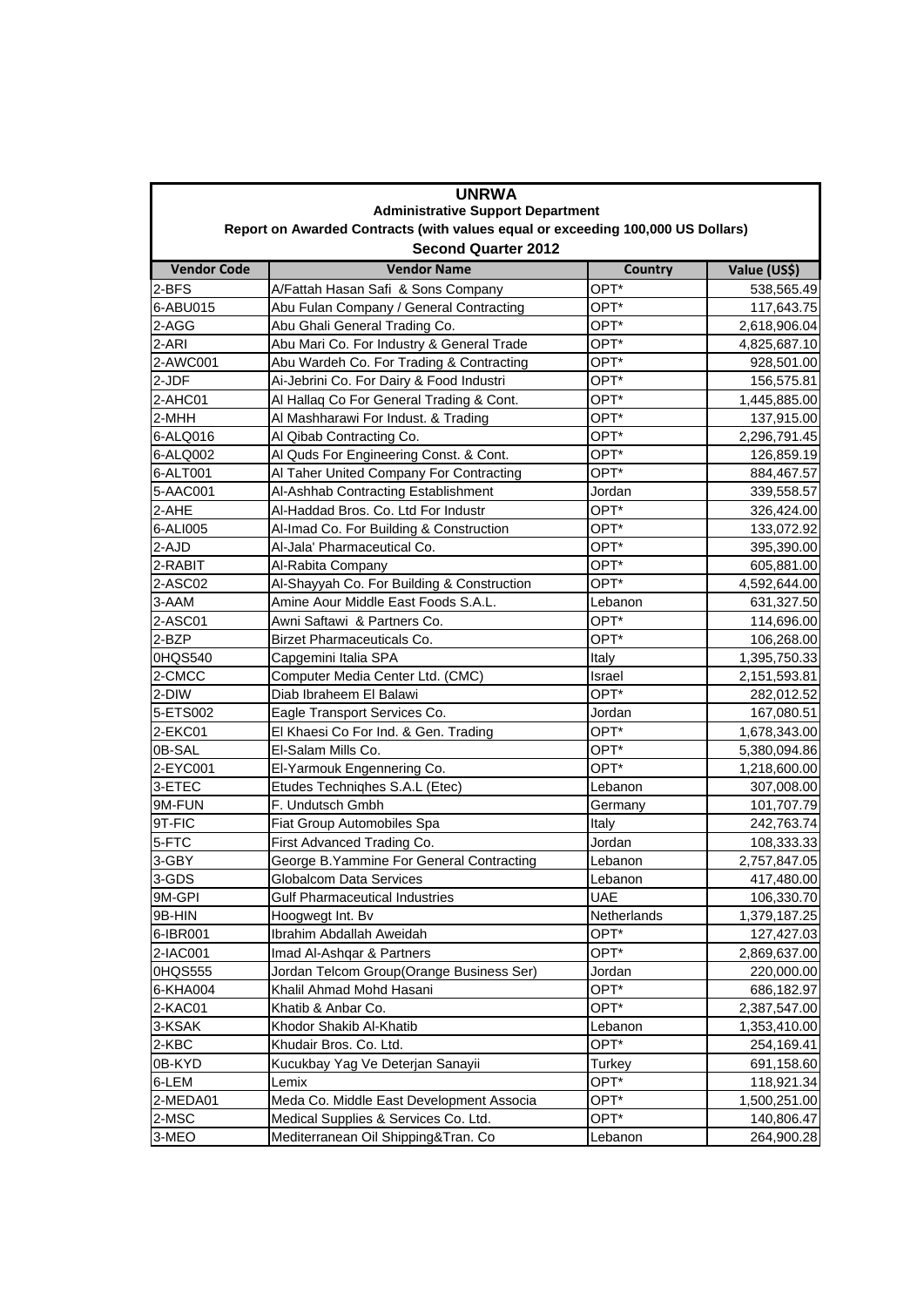| <b>UNRWA</b>                                                                                                                |                                            |                  |              |  |  |
|-----------------------------------------------------------------------------------------------------------------------------|--------------------------------------------|------------------|--------------|--|--|
| <b>Administrative Support Department</b><br>Report on Awarded Contracts (with values equal or exceeding 100,000 US Dollars) |                                            |                  |              |  |  |
| <b>Second Quarter 2012</b>                                                                                                  |                                            |                  |              |  |  |
| <b>Vendor Code</b>                                                                                                          | <b>Vendor Name</b>                         | <b>Country</b>   | Value (US\$) |  |  |
| 2-BFS                                                                                                                       | A/Fattah Hasan Safi & Sons Company         | OPT*             | 538,565.49   |  |  |
| 6-ABU015                                                                                                                    | Abu Fulan Company / General Contracting    | OPT*             | 117,643.75   |  |  |
| 2-AGG                                                                                                                       | Abu Ghali General Trading Co.              | OPT*             | 2,618,906.04 |  |  |
| 2-ARI                                                                                                                       | Abu Mari Co. For Industry & General Trade  | OPT*             | 4,825,687.10 |  |  |
| 2-AWC001                                                                                                                    | Abu Wardeh Co. For Trading & Contracting   | OPT*             | 928,501.00   |  |  |
| 2-JDF                                                                                                                       | Ai-Jebrini Co. For Dairy & Food Industri   | OPT*             | 156,575.81   |  |  |
| 2-AHC01                                                                                                                     | Al Hallaq Co For General Trading & Cont.   | OPT*             | 1,445,885.00 |  |  |
| 2-MHH                                                                                                                       | Al Mashharawi For Indust. & Trading        | OPT*             | 137,915.00   |  |  |
| 6-ALQ016                                                                                                                    | Al Qibab Contracting Co.                   | OPT <sup>*</sup> | 2,296,791.45 |  |  |
| 6-ALQ002                                                                                                                    | Al Quds For Engineering Const. & Cont.     | OPT*             | 126,859.19   |  |  |
| 6-ALT001                                                                                                                    | Al Taher United Company For Contracting    | OPT*             | 884,467.57   |  |  |
| 5-AAC001                                                                                                                    | Al-Ashhab Contracting Establishment        | Jordan           | 339,558.57   |  |  |
| 2-AHE                                                                                                                       | Al-Haddad Bros. Co. Ltd For Industr        | OPT*             | 326,424.00   |  |  |
| 6-ALI005                                                                                                                    | Al-Imad Co. For Building & Construction    | OPT*             | 133,072.92   |  |  |
| 2-AJD                                                                                                                       | Al-Jala' Pharmaceutical Co.                | OPT*             | 395,390.00   |  |  |
| 2-RABIT                                                                                                                     | Al-Rabita Company                          | OPT*             | 605,881.00   |  |  |
| 2-ASC02                                                                                                                     | Al-Shayyah Co. For Building & Construction | OPT*             | 4,592,644.00 |  |  |
| 3-AAM                                                                                                                       | Amine Aour Middle East Foods S.A.L.        | Lebanon          | 631,327.50   |  |  |
| 2-ASC01                                                                                                                     | Awni Saftawi & Partners Co.                | OPT*             | 114,696.00   |  |  |
| 2-BZP                                                                                                                       | <b>Birzet Pharmaceuticals Co.</b>          | OPT*             | 106,268.00   |  |  |
| 0HQS540                                                                                                                     | Capgemini Italia SPA                       | Italy            | 1,395,750.33 |  |  |
| 2-CMCC                                                                                                                      | Computer Media Center Ltd. (CMC)           | Israel           | 2,151,593.81 |  |  |
| 2-DIW                                                                                                                       | Diab Ibraheem El Balawi                    | OPT*             | 282,012.52   |  |  |
| 5-ETS002                                                                                                                    | Eagle Transport Services Co.               | Jordan           | 167,080.51   |  |  |
| 2-EKC01                                                                                                                     | El Khaesi Co For Ind. & Gen. Trading       | OPT*             | 1,678,343.00 |  |  |
| 0B-SAL                                                                                                                      | El-Salam Mills Co.                         | OPT*             | 5,380,094.86 |  |  |
| 2-EYC001                                                                                                                    | El-Yarmouk Engennering Co.                 | OPT*             | 1,218,600.00 |  |  |
| 3-ETEC                                                                                                                      | Etudes Techniqhes S.A.L (Etec)             | Lebanon          | 307,008.00   |  |  |
| 9M-FUN                                                                                                                      | F. Undutsch Gmbh                           | Germany          | 101,707.79   |  |  |
| 9T-FIC                                                                                                                      | Fiat Group Automobiles Spa                 | Italy            | 242,763.74   |  |  |
| 5-FTC                                                                                                                       | First Advanced Trading Co.                 | Jordan           | 108,333.33   |  |  |
| 3-GBY                                                                                                                       | George B. Yammine For General Contracting  | Lebanon          | 2,757,847.05 |  |  |
| 3-GDS                                                                                                                       | Globalcom Data Services                    | Lebanon          | 417,480.00   |  |  |
| 9M-GPI                                                                                                                      | <b>Gulf Pharmaceutical Industries</b>      | <b>UAE</b>       | 106,330.70   |  |  |
| 9B-HIN                                                                                                                      | Hoogwegt Int. Bv                           | Netherlands      | 1,379,187.25 |  |  |
| 6-IBR001                                                                                                                    | Ibrahim Abdallah Aweidah                   | OPT*             | 127,427.03   |  |  |
| 2-IAC001                                                                                                                    | Imad Al-Ashgar & Partners                  | OPT*             | 2,869,637.00 |  |  |
| 0HQS555                                                                                                                     | Jordan Telcom Group(Orange Business Ser)   | Jordan           | 220,000.00   |  |  |
| 6-KHA004                                                                                                                    | Khalil Ahmad Mohd Hasani                   | OPT*             | 686,182.97   |  |  |
| 2-KAC01                                                                                                                     | Khatib & Anbar Co.                         | OPT*             | 2,387,547.00 |  |  |
| 3-KSAK                                                                                                                      | Khodor Shakib Al-Khatib                    | Lebanon          | 1,353,410.00 |  |  |
| 2-KBC                                                                                                                       | Khudair Bros. Co. Ltd.                     | OPT*             | 254,169.41   |  |  |
| 0B-KYD                                                                                                                      | Kucukbay Yag Ve Deterjan Sanayii           | Turkey           | 691,158.60   |  |  |
| 6-LEM                                                                                                                       | Lemix                                      | OPT*             | 118,921.34   |  |  |
| 2-MEDA01                                                                                                                    | Meda Co. Middle East Development Associa   | OPT*             | 1,500,251.00 |  |  |
| 2-MSC                                                                                                                       | Medical Supplies & Services Co. Ltd.       | OPT*             | 140,806.47   |  |  |
| 3-MEO                                                                                                                       | Mediterranean Oil Shipping&Tran. Co        | Lebanon          | 264,900.28   |  |  |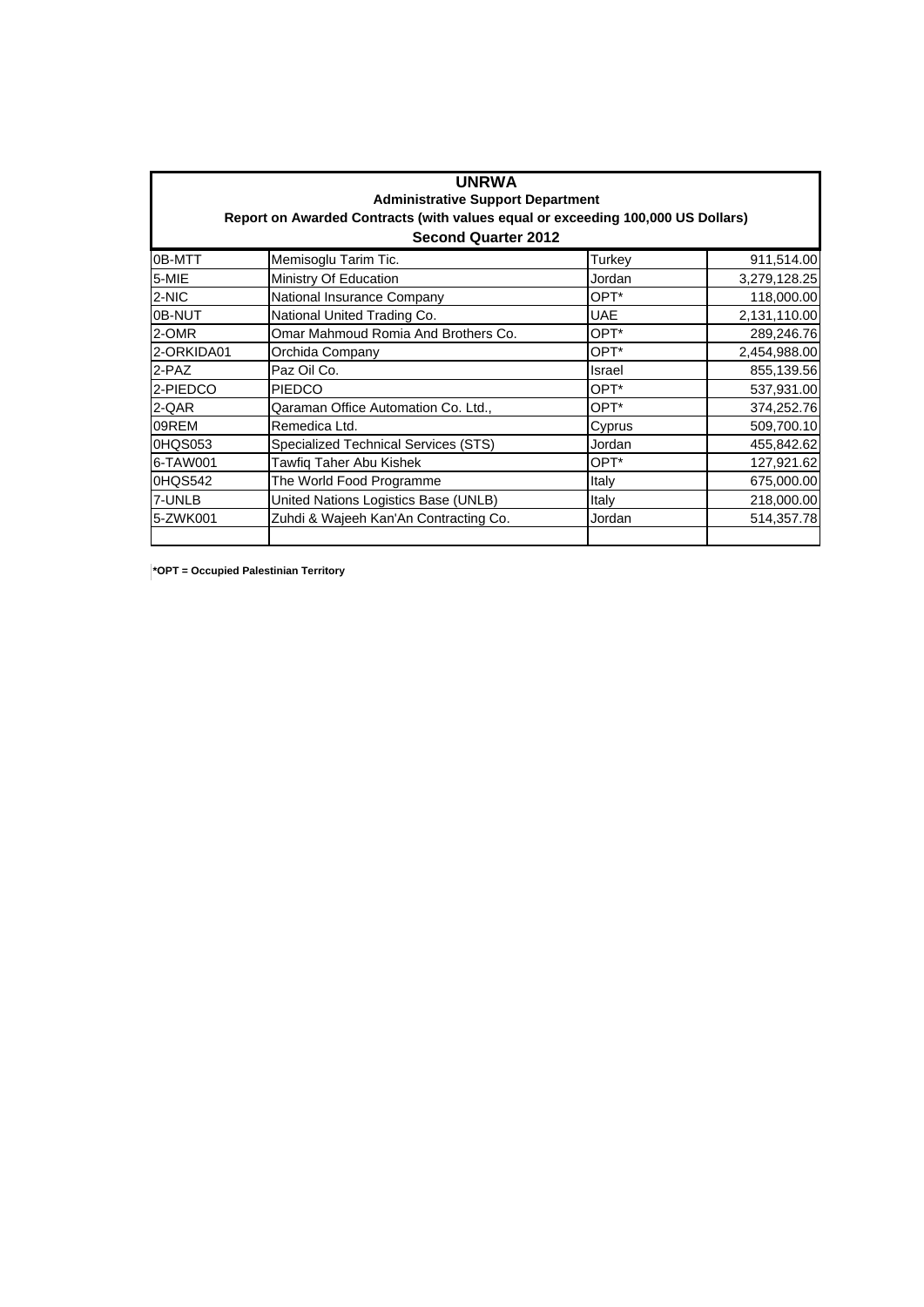| <b>UNRWA</b><br><b>Administrative Support Department</b><br>Report on Awarded Contracts (with values equal or exceeding 100,000 US Dollars)<br><b>Second Quarter 2012</b> |                                       |        |              |  |
|---------------------------------------------------------------------------------------------------------------------------------------------------------------------------|---------------------------------------|--------|--------------|--|
| 0B-MTT                                                                                                                                                                    | Memisoglu Tarim Tic.                  | Turkey | 911,514.00   |  |
| 5-MIE                                                                                                                                                                     | Ministry Of Education                 | Jordan | 3,279,128.25 |  |
| 2-NIC                                                                                                                                                                     | National Insurance Company            | OPT*   | 118,000.00   |  |
| 0B-NUT                                                                                                                                                                    | National United Trading Co.           | UAE    | 2,131,110.00 |  |
| 2-OMR                                                                                                                                                                     | Omar Mahmoud Romia And Brothers Co.   | OPT*   | 289,246.76   |  |
| 2-ORKIDA01                                                                                                                                                                | Orchida Company                       | OPT*   | 2,454,988.00 |  |
| 2-PAZ                                                                                                                                                                     | Paz Oil Co.                           | Israel | 855,139.56   |  |
| 2-PIEDCO                                                                                                                                                                  | <b>PIEDCO</b>                         | OPT*   | 537,931.00   |  |
| 2-QAR                                                                                                                                                                     | Qaraman Office Automation Co. Ltd.,   | OPT*   | 374,252.76   |  |
| 09REM                                                                                                                                                                     | Remedica Ltd.                         | Cyprus | 509,700.10   |  |
| 0HQS053                                                                                                                                                                   | Specialized Technical Services (STS)  | Jordan | 455,842.62   |  |
| 6-TAW001                                                                                                                                                                  | Tawfig Taher Abu Kishek               | OPT*   | 127,921.62   |  |
| 0HQS542                                                                                                                                                                   | The World Food Programme              | Italy  | 675,000.00   |  |
| 7-UNLB                                                                                                                                                                    | United Nations Logistics Base (UNLB)  | Italy  | 218,000.00   |  |
| 5-ZWK001                                                                                                                                                                  | Zuhdi & Wajeeh Kan'An Contracting Co. | Jordan | 514,357.78   |  |

**\*OPT = Occupied Palestinian Territory**